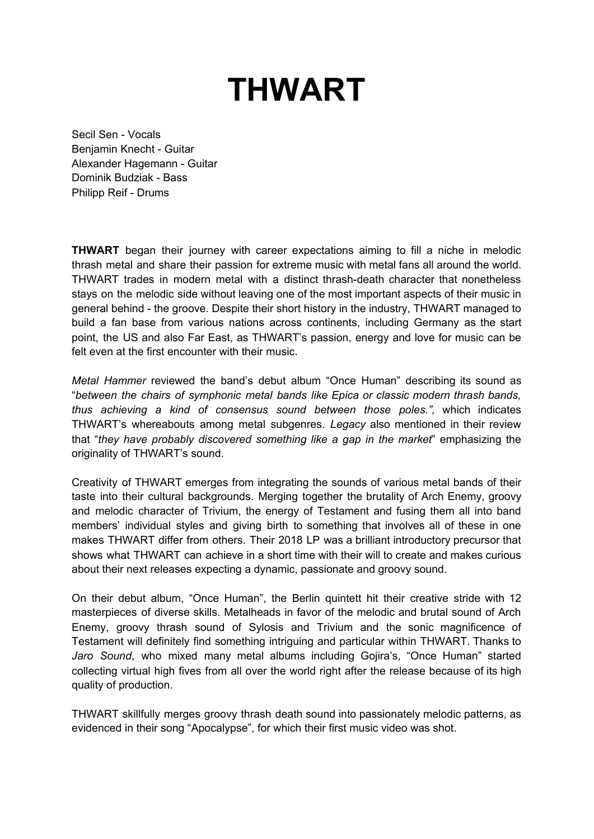## **THWART**

Secil Sen - Vocals Benjamin Knecht - Guitar Alexander Hagemann - Guitar Dominik Budziak - Bass Philipp Reif - Drums

**THWART** began their journey with career expectations aiming to fill a niche in melodic thrash metal and share their passion for extreme music with metal fans all around the world. THWART trades in modern metal with a distinct thrash-death character that nonetheless stays on the melodic side without leaving one of the most important aspects of their music in general behind - the groove. Despite their short history in the industry, THWART managed to build a fan base from various nations across continents, including Germany as the start point, the US and also Far East, as THWART's passion, energy and love for music can be felt even at the first encounter with their music.

*Metal Hammer* reviewed the band's debut album "Once Human" describing its sound as "*between the chairs of symphonic metal bands like Epica or classic modern thrash bands, thus achieving a kind of consensus sound between those poles.",* which indicates THWART's whereabouts among metal subgenres. *Legacy* also mentioned in their review that "*they have probably discovered something like a gap in the market*" emphasizing the originality of THWART's sound.

Creativity of THWART emerges from integrating the sounds of various metal bands of their taste into their cultural backgrounds. Merging together the brutality of Arch Enemy, groovy and melodic character of Trivium, the energy of Testament and fusing them all into band members' individual styles and giving birth to something that involves all of these in one makes THWART differ from others. Their 2018 LP was a brilliant introductory precursor that shows what THWART can achieve in a short time with their will to create and makes curious about their next releases expecting a dynamic, passionate and groovy sound.

On their debut album, "Once Human", the Berlin quintett hit their creative stride with 12 masterpieces of diverse skills. Metalheads in favor of the melodic and brutal sound of Arch Enemy, groovy thrash sound of Sylosis and Trivium and the sonic magnificence of Testament will definitely find something intriguing and particular within THWART. Thanks to *Jaro Sound*, who mixed many metal albums including Gojira's, "Once Human" started collecting virtual high fives from all over the world right after the release because of its high quality of production.

THWART skillfully merges groovy thrash death sound into passionately melodic patterns, as evidenced in their song "Apocalypse", for which their first music video was shot.